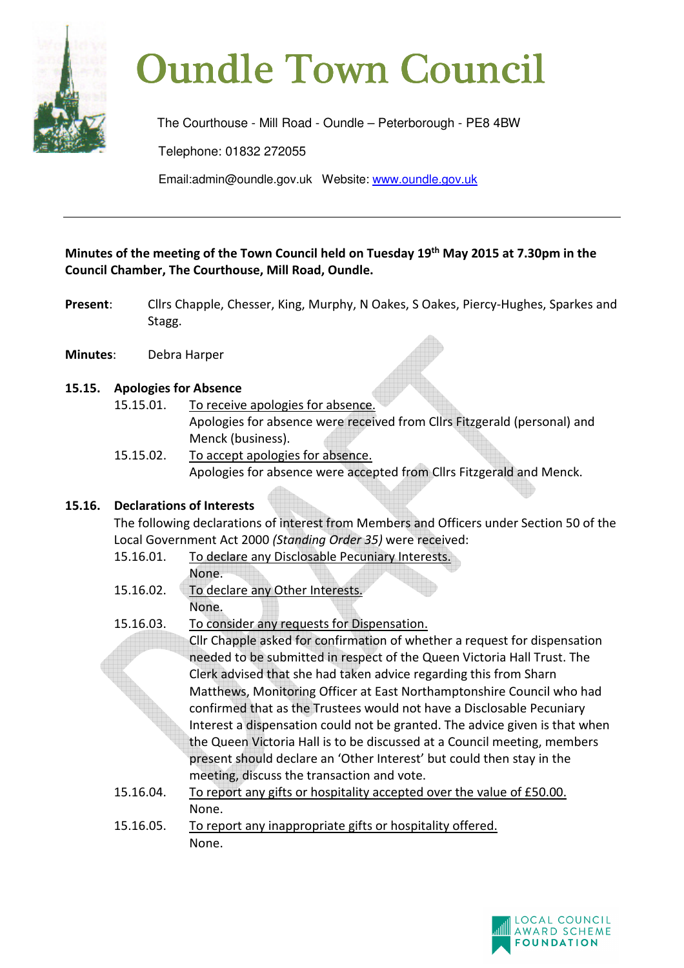

# **Oundle Town Council**

The Courthouse - Mill Road - Oundle – Peterborough - PE8 4BW

Telephone: 01832 272055

Email:admin@oundle.gov.uk Website: www.oundle.gov.uk

# **Minutes of the meeting of the Town Council held on Tuesday 19th May 2015 at 7.30pm in the Council Chamber, The Courthouse, Mill Road, Oundle.**

- **Present**: Cllrs Chapple, Chesser, King, Murphy, N Oakes, S Oakes, Piercy-Hughes, Sparkes and Stagg.
- **Minutes**: Debra Harper

# **15.15. Apologies for Absence**

- 15.15.01. To receive apologies for absence.
	- Apologies for absence were received from Cllrs Fitzgerald (personal) and Menck (business).
- 15.15.02. To accept apologies for absence. Apologies for absence were accepted from Cllrs Fitzgerald and Menck.

# **15.16. Declarations of Interests**

 The following declarations of interest from Members and Officers under Section 50 of the Local Government Act 2000 *(Standing Order 35)* were received:

- 15.16.01. To declare any Disclosable Pecuniary Interests.
	- None.
- 15.16.02. To declare any Other Interests. None.
- 15.16.03. To consider any requests for Dispensation.

Cllr Chapple asked for confirmation of whether a request for dispensation needed to be submitted in respect of the Queen Victoria Hall Trust. The Clerk advised that she had taken advice regarding this from Sharn Matthews, Monitoring Officer at East Northamptonshire Council who had confirmed that as the Trustees would not have a Disclosable Pecuniary Interest a dispensation could not be granted. The advice given is that when the Queen Victoria Hall is to be discussed at a Council meeting, members present should declare an 'Other Interest' but could then stay in the meeting, discuss the transaction and vote.

- 15.16.04. To report any gifts or hospitality accepted over the value of £50.00. None.
- 15.16.05. To report any inappropriate gifts or hospitality offered. None.

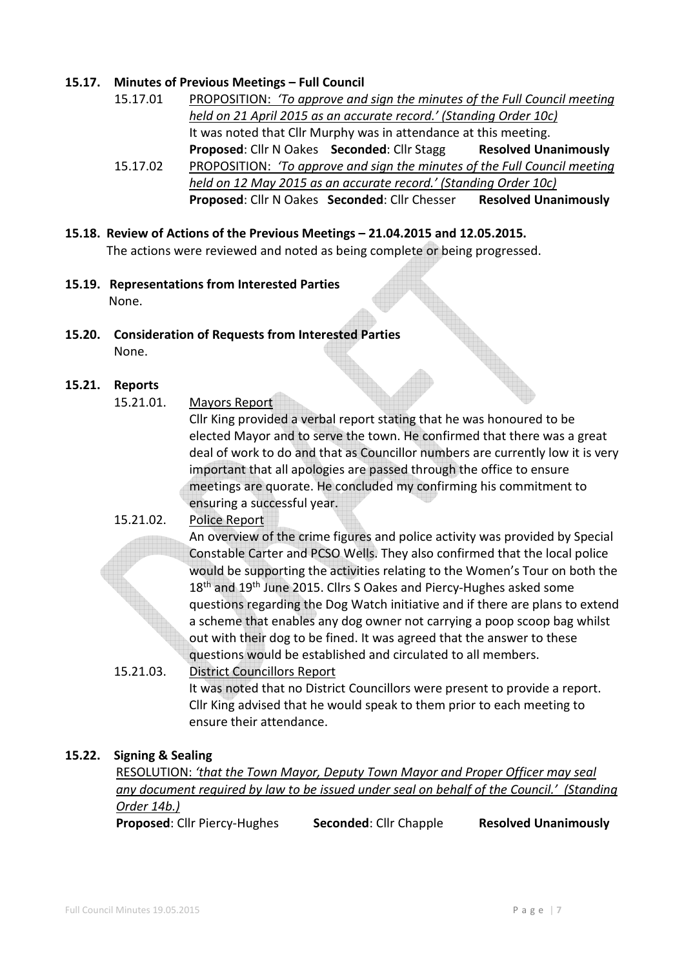## **15.17. Minutes of Previous Meetings – Full Council**

15.17.01 PROPOSITION: *'To approve and sign the minutes of the Full Council meeting held on 21 April 2015 as an accurate record.' (Standing Order 10c)*  It was noted that Cllr Murphy was in attendance at this meeting. **Proposed: Cllr N Oakes Seconded: Cllr Stagg Resolved Unanimously** 15.17.02 PROPOSITION: *'To approve and sign the minutes of the Full Council meeting held on 12 May 2015 as an accurate record.' (Standing Order 10c)* 

**Proposed**: Cllr N Oakes **Seconded**: Cllr Chesser **Resolved Unanimously** 

- **15.18. Review of Actions of the Previous Meetings 21.04.2015 and 12.05.2015.**  The actions were reviewed and noted as being complete or being progressed.
- **15.19. Representations from Interested Parties** None.
- **15.20. Consideration of Requests from Interested Parties**  None.

## **15.21. Reports**

15.21.01. Mayors Report

Cllr King provided a verbal report stating that he was honoured to be elected Mayor and to serve the town. He confirmed that there was a great deal of work to do and that as Councillor numbers are currently low it is very important that all apologies are passed through the office to ensure meetings are quorate. He concluded my confirming his commitment to ensuring a successful year.

## 15.21.02. Police Report

An overview of the crime figures and police activity was provided by Special Constable Carter and PCSO Wells. They also confirmed that the local police would be supporting the activities relating to the Women's Tour on both the 18<sup>th</sup> and 19<sup>th</sup> June 2015. Cllrs S Oakes and Piercy-Hughes asked some questions regarding the Dog Watch initiative and if there are plans to extend a scheme that enables any dog owner not carrying a poop scoop bag whilst out with their dog to be fined. It was agreed that the answer to these questions would be established and circulated to all members.

15.21.03. District Councillors Report It was noted that no District Councillors were present to provide a report. Cllr King advised that he would speak to them prior to each meeting to ensure their attendance.

## **15.22. Signing & Sealing**

 RESOLUTION: *'that the Town Mayor, Deputy Town Mayor and Proper Officer may seal any document required by law to be issued under seal on behalf of the Council.' (Standing Order 14b.)*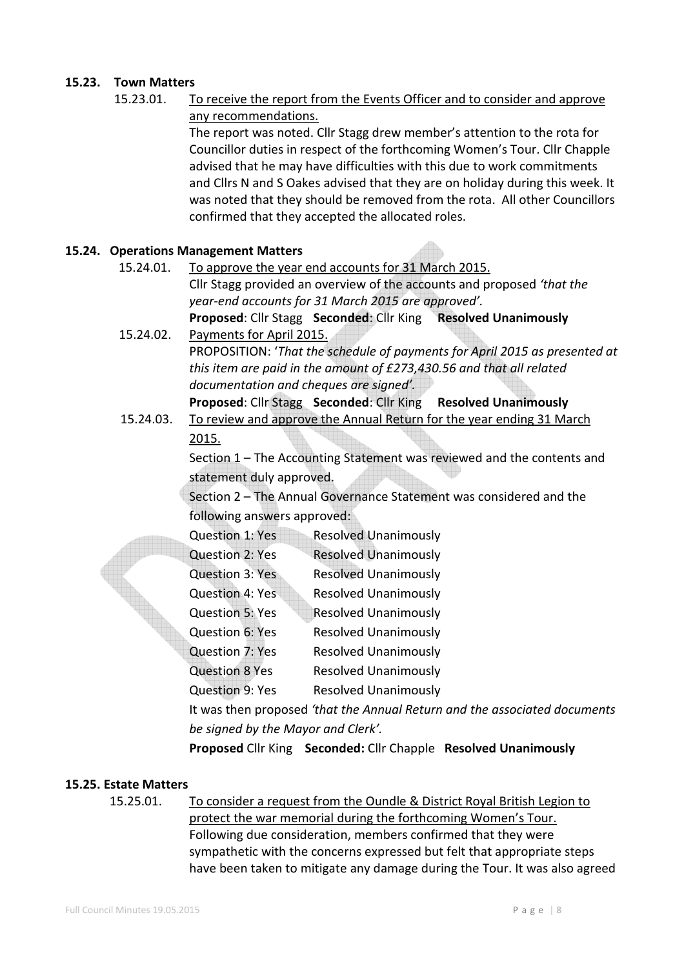# **15.23. Town Matters**

 15.23.01. To receive the report from the Events Officer and to consider and approve any recommendations.

 The report was noted. Cllr Stagg drew member's attention to the rota for Councillor duties in respect of the forthcoming Women's Tour. Cllr Chapple advised that he may have difficulties with this due to work commitments and Cllrs N and S Oakes advised that they are on holiday during this week. It was noted that they should be removed from the rota. All other Councillors confirmed that they accepted the allocated roles.

## **15.24. Operations Management Matters**

- 15.24.01. To approve the year end accounts for 31 March 2015. Cllr Stagg provided an overview of the accounts and proposed *'that the year-end accounts for 31 March 2015 are approved'.*  **Proposed**: Cllr Stagg **Seconded**: Cllr King **Resolved Unanimously**
- 15.24.02. Payments for April 2015. PROPOSITION: '*That the schedule of payments for April 2015 as presented at this item are paid in the amount of £273,430.56 and that all related documentation and cheques are signed'.*
	- **Proposed**: Cllr Stagg **Seconded**: Cllr King **Resolved Unanimously**
- 15.24.03. To review and approve the Annual Return for the year ending 31 March 2015.

 Section 1 – The Accounting Statement was reviewed and the contents and statement duly approved.

Section 2 – The Annual Governance Statement was considered and the following answers approved:

| Question 1: Yes   | <b>Resolved Unanimously</b> |
|-------------------|-----------------------------|
| $Quartian 2.$ Vac | Recolved Unanimouch         |

| GULJUUTE, LLJ   | <b>INCOUNCY OTIGITITIOGOIY</b> |
|-----------------|--------------------------------|
| Question 3: Yes | <b>Resolved Unanimously</b>    |

- Question 4: Yes Resolved Unanimously
- Question 5: Yes Resolved Unanimously
- Question 6: Yes Resolved Unanimously
- Question 7: Yes Resolved Unanimously
- Question 8 Yes Resolved Unanimously

Question 9: Yes Resolved Unanimously

It was then proposed *'that the Annual Return and the associated documents be signed by the Mayor and Clerk'.* 

**Proposed** Cllr King **Seconded:** Cllr Chapple **Resolved Unanimously**

## **15.25. Estate Matters**

 15.25.01. To consider a request from the Oundle & District Royal British Legion to protect the war memorial during the forthcoming Women's Tour. Following due consideration, members confirmed that they were sympathetic with the concerns expressed but felt that appropriate steps have been taken to mitigate any damage during the Tour. It was also agreed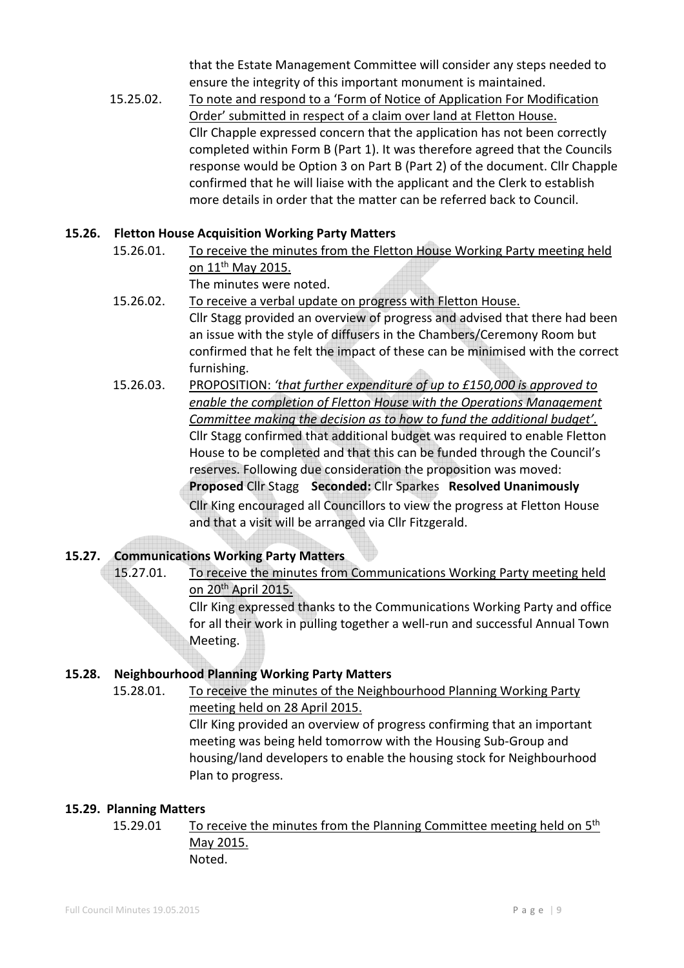that the Estate Management Committee will consider any steps needed to ensure the integrity of this important monument is maintained.

 15.25.02. To note and respond to a 'Form of Notice of Application For Modification Order' submitted in respect of a claim over land at Fletton House. Cllr Chapple expressed concern that the application has not been correctly completed within Form B (Part 1). It was therefore agreed that the Councils response would be Option 3 on Part B (Part 2) of the document. Cllr Chapple confirmed that he will liaise with the applicant and the Clerk to establish more details in order that the matter can be referred back to Council.

# **15.26. Fletton House Acquisition Working Party Matters**

- 15.26.01. To receive the minutes from the Fletton House Working Party meeting held on 11th May 2015. The minutes were noted.
- 15.26.02. To receive a verbal update on progress with Fletton House. Cllr Stagg provided an overview of progress and advised that there had been an issue with the style of diffusers in the Chambers/Ceremony Room but confirmed that he felt the impact of these can be minimised with the correct furnishing.
- 15.26.03. PROPOSITION: *'that further expenditure of up to £150,000 is approved to enable the completion of Fletton House with the Operations Management Committee making the decision as to how to fund the additional budget'.*  Cllr Stagg confirmed that additional budget was required to enable Fletton House to be completed and that this can be funded through the Council's reserves. Following due consideration the proposition was moved: **Proposed** Cllr Stagg **Seconded:** Cllr Sparkes **Resolved Unanimously** Cllr King encouraged all Councillors to view the progress at Fletton House and that a visit will be arranged via Cllr Fitzgerald.

# **15.27. Communications Working Party Matters**

 15.27.01. To receive the minutes from Communications Working Party meeting held on 20th April 2015.

 Cllr King expressed thanks to the Communications Working Party and office for all their work in pulling together a well-run and successful Annual Town Meeting.

# **15.28. Neighbourhood Planning Working Party Matters**

 15.28.01. To receive the minutes of the Neighbourhood Planning Working Party meeting held on 28 April 2015.

 Cllr King provided an overview of progress confirming that an important meeting was being held tomorrow with the Housing Sub-Group and housing/land developers to enable the housing stock for Neighbourhood Plan to progress.

# **15.29. Planning Matters**

15.29.01 To receive the minutes from the Planning Committee meeting held on  $5<sup>th</sup>$ May 2015. Noted.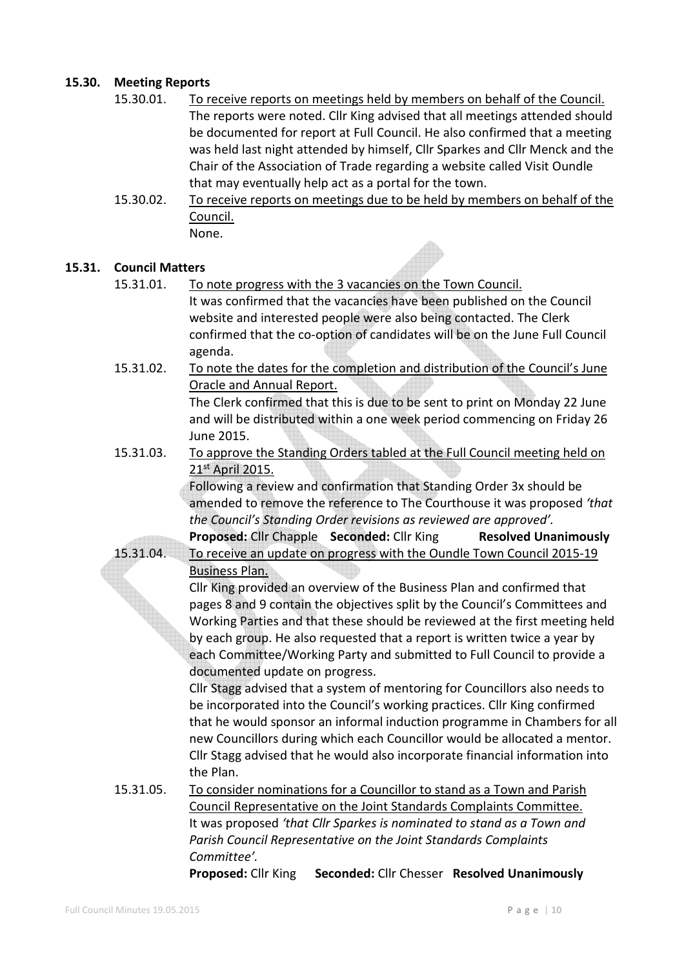# **15.30. Meeting Reports**

| To receive reports on meetings held by members on behalf of the Council.     |
|------------------------------------------------------------------------------|
| The reports were noted. Cllr King advised that all meetings attended should  |
| be documented for report at Full Council. He also confirmed that a meeting   |
| was held last night attended by himself, Cllr Sparkes and Cllr Menck and the |
| Chair of the Association of Trade regarding a website called Visit Oundle    |
| that may eventually help act as a portal for the town.                       |
|                                                                              |

 15.30.02. To receive reports on meetings due to be held by members on behalf of the Council. None.

## **15.31. Council Matters**

- 15.31.01. To note progress with the 3 vacancies on the Town Council. It was confirmed that the vacancies have been published on the Council website and interested people were also being contacted. The Clerk confirmed that the co-option of candidates will be on the June Full Council agenda.
- 15.31.02. To note the dates for the completion and distribution of the Council's June Oracle and Annual Report.

 The Clerk confirmed that this is due to be sent to print on Monday 22 June and will be distributed within a one week period commencing on Friday 26 June 2015.

 15.31.03. To approve the Standing Orders tabled at the Full Council meeting held on 21<sup>st</sup> April 2015.

> Following a review and confirmation that Standing Order 3x should be amended to remove the reference to The Courthouse it was proposed *'that the Council's Standing Order revisions as reviewed are approved'.*  **Proposed: Cllr Chapple Seconded: Cllr King Resolved Unanimously**

15.31.04. To receive an update on progress with the Oundle Town Council 2015-19

Business Plan.

 Cllr King provided an overview of the Business Plan and confirmed that pages 8 and 9 contain the objectives split by the Council's Committees and Working Parties and that these should be reviewed at the first meeting held by each group. He also requested that a report is written twice a year by each Committee/Working Party and submitted to Full Council to provide a documented update on progress.

 Cllr Stagg advised that a system of mentoring for Councillors also needs to be incorporated into the Council's working practices. Cllr King confirmed that he would sponsor an informal induction programme in Chambers for all new Councillors during which each Councillor would be allocated a mentor. Cllr Stagg advised that he would also incorporate financial information into the Plan.

 15.31.05. To consider nominations for a Councillor to stand as a Town and Parish Council Representative on the Joint Standards Complaints Committee. It was proposed *'that Cllr Sparkes is nominated to stand as a Town and Parish Council Representative on the Joint Standards Complaints Committee'.*   **Proposed:** Cllr King **Seconded:** Cllr Chesser **Resolved Unanimously**

Full Council Minutes 19.05.2015 P a g e | **10**